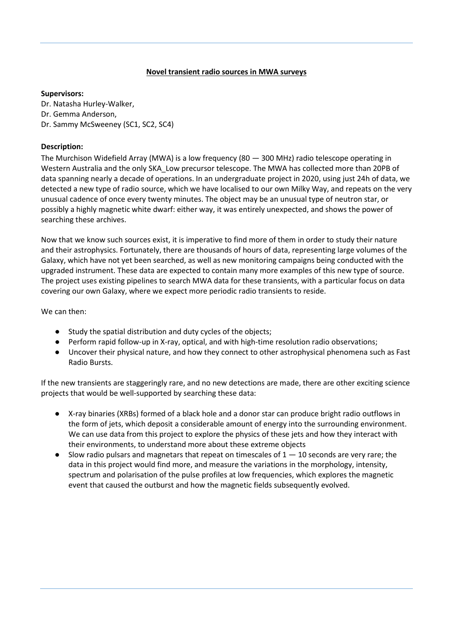## **Novel transient radio sources in MWA surveys**

## **Supervisors:**

Dr. Natasha Hurley-Walker, Dr. Gemma Anderson, Dr. Sammy McSweeney (SC1, SC2, SC4)

## **Description:**

The Murchison Widefield Array (MWA) is a low frequency (80 — 300 MHz) radio telescope operating in Western Australia and the only SKA\_Low precursor telescope. The MWA has collected more than 20PB of data spanning nearly a decade of operations. In an undergraduate project in 2020, using just 24h of data, we detected a new type of radio source, which we have localised to our own Milky Way, and repeats on the very unusual cadence of once every twenty minutes. The object may be an unusual type of neutron star, or possibly a highly magnetic white dwarf: either way, it was entirely unexpected, and shows the power of searching these archives.

Now that we know such sources exist, it is imperative to find more of them in order to study their nature and their astrophysics. Fortunately, there are thousands of hours of data, representing large volumes of the Galaxy, which have not yet been searched, as well as new monitoring campaigns being conducted with the upgraded instrument. These data are expected to contain many more examples of this new type of source. The project uses existing pipelines to search MWA data for these transients, with a particular focus on data covering our own Galaxy, where we expect more periodic radio transients to reside.

We can then:

- Study the spatial distribution and duty cycles of the objects;
- Perform rapid follow-up in X-ray, optical, and with high-time resolution radio observations;
- Uncover their physical nature, and how they connect to other astrophysical phenomena such as Fast Radio Bursts.

If the new transients are staggeringly rare, and no new detections are made, there are other exciting science projects that would be well-supported by searching these data:

- X-ray binaries (XRBs) formed of a black hole and a donor star can produce bright radio outflows in the form of jets, which deposit a considerable amount of energy into the surrounding environment. We can use data from this project to explore the physics of these jets and how they interact with their environments, to understand more about these extreme objects
- Slow radio pulsars and magnetars that repeat on timescales of  $1 10$  seconds are very rare; the data in this project would find more, and measure the variations in the morphology, intensity, spectrum and polarisation of the pulse profiles at low frequencies, which explores the magnetic event that caused the outburst and how the magnetic fields subsequently evolved.